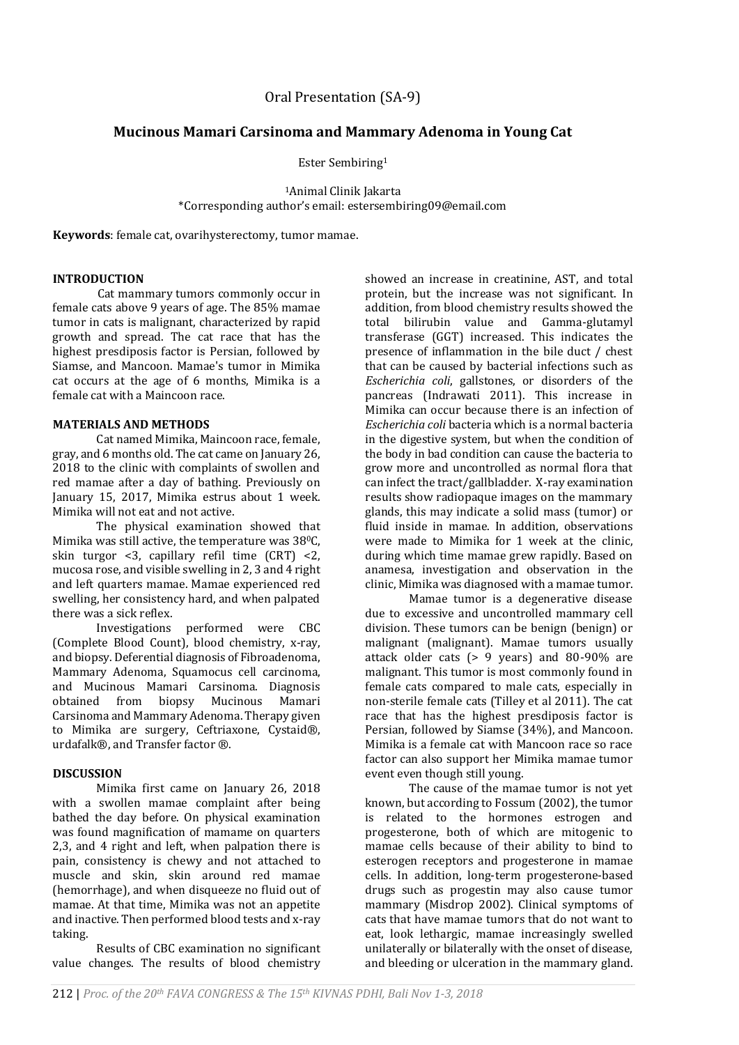# **Mucinous Mamari Carsinoma and Mammary Adenoma in Young Cat**

Ester Sembiring<sup>1</sup>

<sup>1</sup>Animal Clinik Jakarta \*Corresponding author's email: estersembiring09@email.com

**Keywords**: female cat, ovarihysterectomy, tumor mamae.

#### **INTRODUCTION**

Cat mammary tumors commonly occur in female cats above 9 years of age. The 85% mamae tumor in cats is malignant, characterized by rapid growth and spread. The cat race that has the highest presdiposis factor is Persian, followed by Siamse, and Mancoon. Mamae's tumor in Mimika cat occurs at the age of 6 months, Mimika is a female cat with a Maincoon race.

## **MATERIALS AND METHODS**

Cat named Mimika, Maincoon race, female, gray, and 6 months old. The cat came on January 26, 2018 to the clinic with complaints of swollen and red mamae after a day of bathing. Previously on January 15, 2017, Mimika estrus about 1 week. Mimika will not eat and not active.

The physical examination showed that Mimika was still active, the temperature was 38<sup>o</sup>C. skin turgor <3, capillary refil time (CRT) <2, mucosa rose, and visible swelling in 2, 3 and 4 right and left quarters mamae. Mamae experienced red swelling, her consistency hard, and when palpated there was a sick reflex.

Investigations performed were CBC (Complete Blood Count), blood chemistry, x-ray, and biopsy. Deferential diagnosis of Fibroadenoma, Mammary Adenoma, Squamocus cell carcinoma, and Mucinous Mamari Carsinoma. Diagnosis obtained from biopsy Mucinous Mamari Carsinoma and Mammary Adenoma. Therapy given to Mimika are surgery, Ceftriaxone, Cystaid®, urdafalk®, and Transfer factor ®.

#### **DISCUSSION**

Mimika first came on January 26, 2018 with a swollen mamae complaint after being bathed the day before. On physical examination was found magnification of mamame on quarters 2,3, and 4 right and left, when palpation there is pain, consistency is chewy and not attached to muscle and skin, skin around red mamae (hemorrhage), and when disqueeze no fluid out of mamae. At that time, Mimika was not an appetite and inactive. Then performed blood tests and x-ray taking.

Results of CBC examination no significant value changes. The results of blood chemistry showed an increase in creatinine, AST, and total protein, but the increase was not significant. In addition, from blood chemistry results showed the total bilirubin value and Gamma-glutamyl transferase (GGT) increased. This indicates the presence of inflammation in the bile duct / chest that can be caused by bacterial infections such as *Escherichia coli*, gallstones, or disorders of the pancreas (Indrawati 2011). This increase in Mimika can occur because there is an infection of *Escherichia coli* bacteria which is a normal bacteria in the digestive system, but when the condition of the body in bad condition can cause the bacteria to grow more and uncontrolled as normal flora that can infect the tract/gallbladder. X-ray examination results show radiopaque images on the mammary glands, this may indicate a solid mass (tumor) or fluid inside in mamae. In addition, observations were made to Mimika for 1 week at the clinic, during which time mamae grew rapidly. Based on anamesa, investigation and observation in the clinic, Mimika was diagnosed with a mamae tumor.

Mamae tumor is a degenerative disease due to excessive and uncontrolled mammary cell division. These tumors can be benign (benign) or malignant (malignant). Mamae tumors usually attack older cats (> 9 years) and 80-90% are malignant. This tumor is most commonly found in female cats compared to male cats, especially in non-sterile female cats (Tilley et al 2011). The cat race that has the highest presdiposis factor is Persian, followed by Siamse (34%), and Mancoon. Mimika is a female cat with Mancoon race so race factor can also support her Mimika mamae tumor event even though still young.

The cause of the mamae tumor is not yet known, but according to Fossum (2002), the tumor is related to the hormones estrogen and progesterone, both of which are mitogenic to mamae cells because of their ability to bind to esterogen receptors and progesterone in mamae cells. In addition, long-term progesterone-based drugs such as progestin may also cause tumor mammary (Misdrop 2002). Clinical symptoms of cats that have mamae tumors that do not want to eat, look lethargic, mamae increasingly swelled unilaterally or bilaterally with the onset of disease, and bleeding or ulceration in the mammary gland.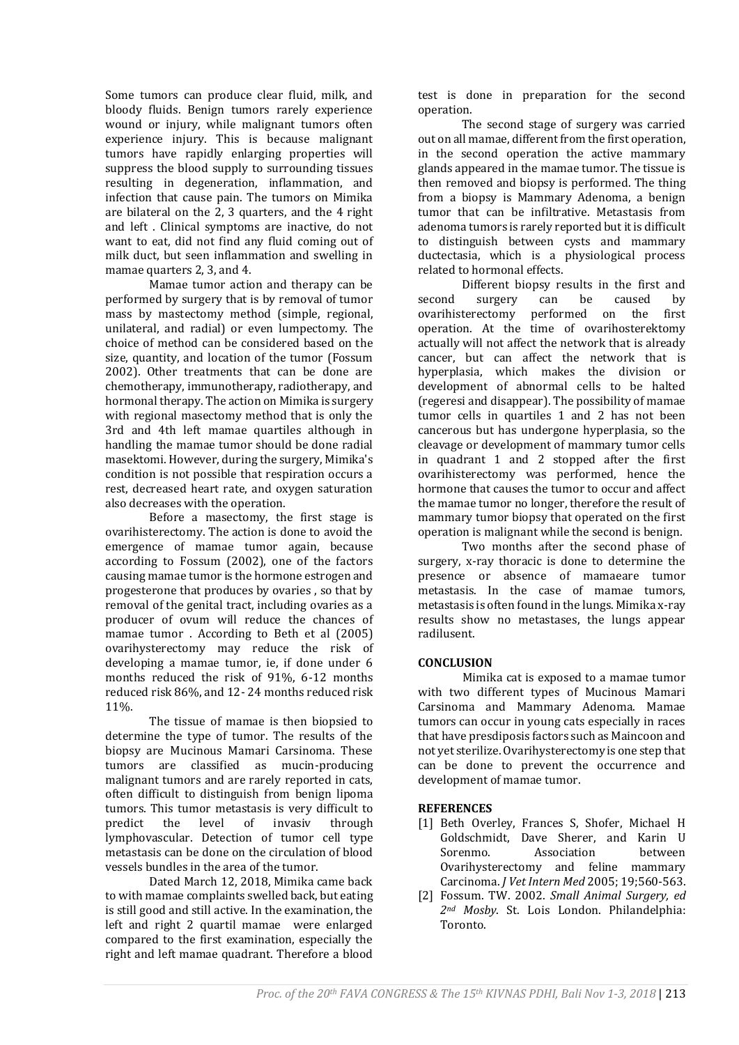Some tumors can produce clear fluid, milk, and bloody fluids. Benign tumors rarely experience wound or injury, while malignant tumors often experience injury. This is because malignant tumors have rapidly enlarging properties will suppress the blood supply to surrounding tissues resulting in degeneration, inflammation, and infection that cause pain. The tumors on Mimika are bilateral on the 2, 3 quarters, and the 4 right and left . Clinical symptoms are inactive, do not want to eat, did not find any fluid coming out of milk duct, but seen inflammation and swelling in mamae quarters 2, 3, and 4.

Mamae tumor action and therapy can be performed by surgery that is by removal of tumor mass by mastectomy method (simple, regional, unilateral, and radial) or even lumpectomy. The choice of method can be considered based on the size, quantity, and location of the tumor (Fossum 2002). Other treatments that can be done are chemotherapy, immunotherapy, radiotherapy, and hormonal therapy. The action on Mimika is surgery with regional masectomy method that is only the 3rd and 4th left mamae quartiles although in handling the mamae tumor should be done radial masektomi. However, during the surgery, Mimika's condition is not possible that respiration occurs a rest, decreased heart rate, and oxygen saturation also decreases with the operation.

Before a masectomy, the first stage is ovarihisterectomy. The action is done to avoid the emergence of mamae tumor again, because according to Fossum (2002), one of the factors causing mamae tumor is the hormone estrogen and progesterone that produces by ovaries , so that by removal of the genital tract, including ovaries as a producer of ovum will reduce the chances of mamae tumor . According to Beth et al (2005) ovarihysterectomy may reduce the risk of developing a mamae tumor, ie, if done under 6 months reduced the risk of 91%, 6-12 months reduced risk 86%, and 12- 24 months reduced risk 11%.

The tissue of mamae is then biopsied to determine the type of tumor. The results of the biopsy are Mucinous Mamari Carsinoma. These tumors are classified as mucin-producing malignant tumors and are rarely reported in cats, often difficult to distinguish from benign lipoma tumors. This tumor metastasis is very difficult to predict the level of invasiv through lymphovascular. Detection of tumor cell type metastasis can be done on the circulation of blood vessels bundles in the area of the tumor.

Dated March 12, 2018, Mimika came back to with mamae complaints swelled back, but eating is still good and still active. In the examination, the left and right 2 quartil mamae were enlarged compared to the first examination, especially the right and left mamae quadrant. Therefore a blood test is done in preparation for the second operation.

The second stage of surgery was carried out on all mamae, different from the first operation, in the second operation the active mammary glands appeared in the mamae tumor. The tissue is then removed and biopsy is performed. The thing from a biopsy is Mammary Adenoma, a benign tumor that can be infiltrative. Metastasis from adenoma tumors is rarely reported but it is difficult to distinguish between cysts and mammary ductectasia, which is a physiological process related to hormonal effects.

Different biopsy results in the first and second surgery can be caused by<br>ovarihisterectomy performed on the first performed on the first operation. At the time of ovarihosterektomy actually will not affect the network that is already cancer, but can affect the network that is hyperplasia, which makes the division or development of abnormal cells to be halted (regeresi and disappear). The possibility of mamae tumor cells in quartiles 1 and 2 has not been cancerous but has undergone hyperplasia, so the cleavage or development of mammary tumor cells in quadrant 1 and 2 stopped after the first ovarihisterectomy was performed, hence the hormone that causes the tumor to occur and affect the mamae tumor no longer, therefore the result of mammary tumor biopsy that operated on the first operation is malignant while the second is benign.

Two months after the second phase of surgery, x-ray thoracic is done to determine the presence or absence of mamaeare tumor metastasis. In the case of mamae tumors, metastasis is often found in the lungs. Mimika x-ray results show no metastases, the lungs appear radilusent.

## **CONCLUSION**

Mimika cat is exposed to a mamae tumor with two different types of Mucinous Mamari Carsinoma and Mammary Adenoma. Mamae tumors can occur in young cats especially in races that have presdiposis factors such as Maincoon and not yet sterilize. Ovarihysterectomy is one step that can be done to prevent the occurrence and development of mamae tumor.

## **REFERENCES**

- [1] Beth Overley, Frances S, Shofer, Michael H Goldschmidt, Dave Sherer, and Karin U Sorenmo. Association between Ovarihysterectomy and feline mammary Carcinoma. *J Vet Intern Med* 2005; 19;560-563.
- [2] Fossum. TW. 2002. *Small Animal Surgery, ed 2nd Mosby*. St. Lois London. Philandelphia: Toronto.